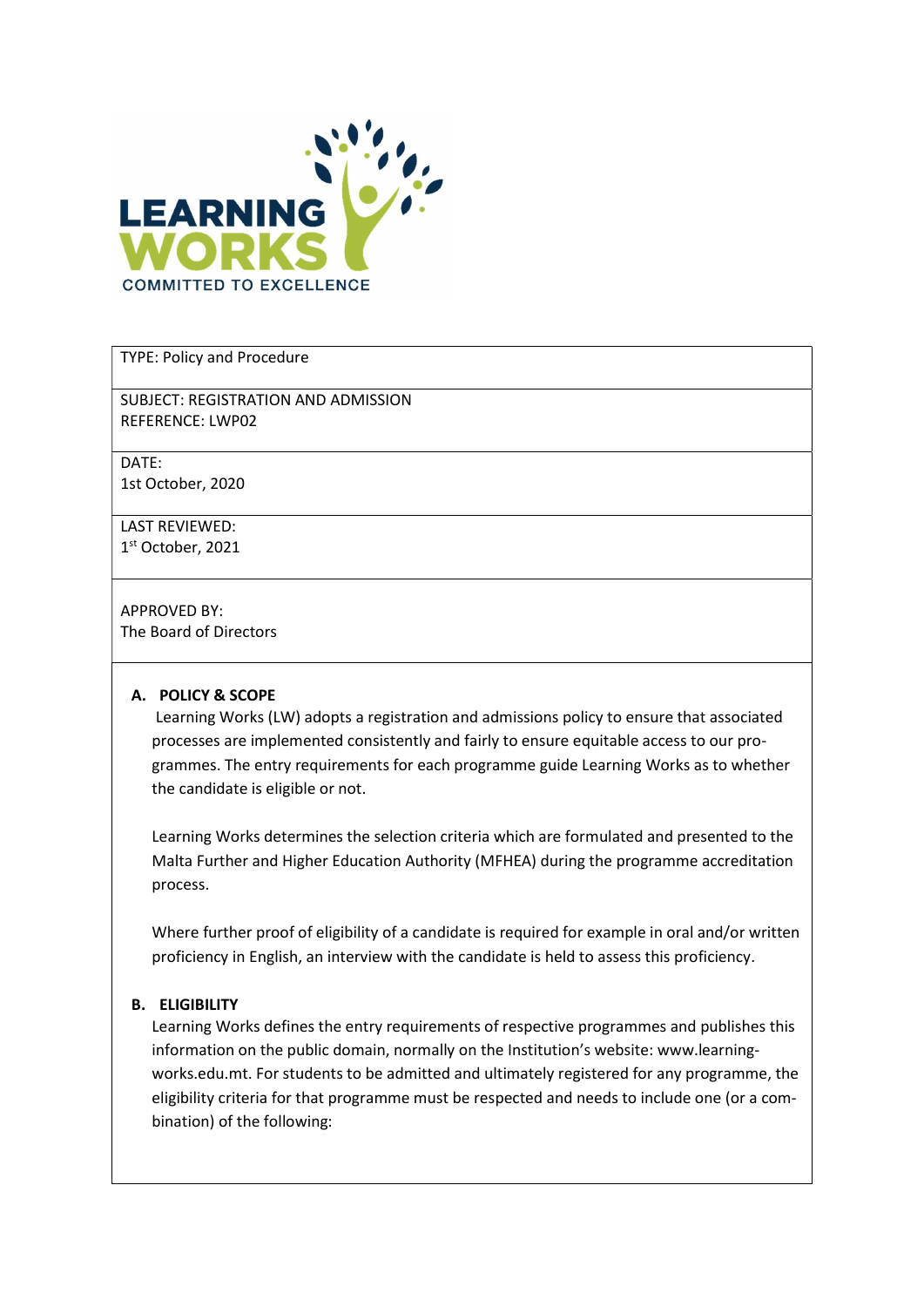

TYPE: Policy and Procedure

SUBJECT: REGISTRATION AND ADMISSION REFERENCE: LWP02

DATE: 1st October, 2020

LAST REVIEWED: 1 st October, 2021

APPROVED BY: The Board of Directors

#### A. POLICY & SCOPE

 Learning Works (LW) adopts a registration and admissions policy to ensure that associated processes are implemented consistently and fairly to ensure equitable access to our programmes. The entry requirements for each programme guide Learning Works as to whether the candidate is eligible or not.

Learning Works determines the selection criteria which are formulated and presented to the Malta Further and Higher Education Authority (MFHEA) during the programme accreditation process.

Where further proof of eligibility of a candidate is required for example in oral and/or written proficiency in English, an interview with the candidate is held to assess this proficiency.

#### B. ELIGIBILITY

Learning Works defines the entry requirements of respective programmes and publishes this information on the public domain, normally on the Institution's website: www.learningworks.edu.mt. For students to be admitted and ultimately registered for any programme, the eligibility criteria for that programme must be respected and needs to include one (or a combination) of the following: